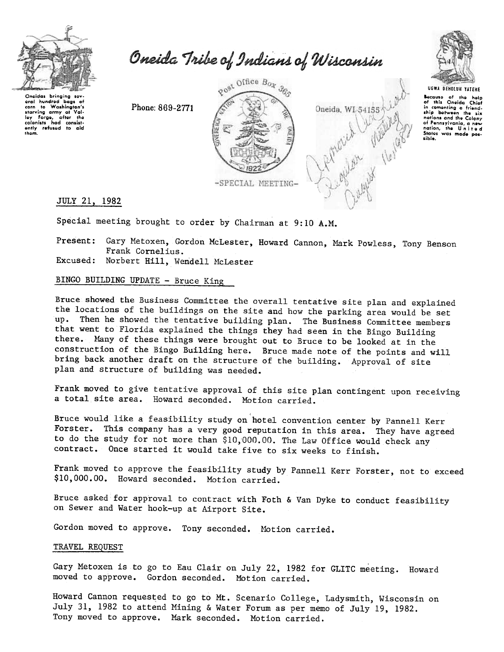

Oneida Tribe of Indians of Wisconsin

Onoidas bringing sov oral hundrod bags af corn to Washington's starving army at Val-<br>ley Forge, after the<br>colonists had consist-<br>ently refused to aid 'horn.

Phone: 869-2771





UGWA DEHOlUH YATEHE Because of the help<br>of this Oneida Chief in comenting a friend-<br>ship between the six<br>nations and the Colony of Pennsylvania, a new<br>nation, the United<br>States was made pos-<br>sible.

JULY 21, 1982

Special meeting brought to order by Chairman at  $9:10$  A.M.

Present: Gary Metoxen, Gordon McLester, Howard Cannon, Mark Powless, Tony Benson Frank Cornelius.

Excused: Norbert Hill, Wendell McLest

## BINGO BUILDING UPDATE - Bruce King

Bruce showed the Business Committee the overall tentative site plan and explained the locations of the buildings on the site and how the parking area would be set up. Then he showed the tentative building plan. The Business Committee members that went to Florida explained the things they had seen in the Bingo Building there. Many of these things were brought out to Bruce to be looked at in the construction of the Bingo Building here. Bruce made note of the points and will bring back another draft on the structure of the building. Approval of site plan and structure of building was needed.

Frank moved to give tentative approval of this site plan contingent upon receiving a total site area. Howard seconded. MOtion carried.

Bruce would like a feasibility study on hotel convention center by Pannell Kerr Forster. This company has a very good reputation in this area. They have agreed to do the study for not more than \$10,000.00. The Law Office would check any contract. Once started it would take five to six weeks to finish.

Frank moved to approve the feasibility study by Pannell Kerr Forster, not to exceed \$10,000.00. Howard seconded. Motion carried.

Bruce asked for approval to contract with Foth & Van Dyke to conduct feasibility on Sewer and Water hook-up at Airport Site.

Gordon moved to approve. Tony seconded. Motion carried.

## TRAVEL REQUEST

Gary Metoxen is to go to Eau Clair on July 22, 1982 for GLITC meeting. Howard moved to approve. Gordon seconded. Motion carried.

Howard Cannon requested to go to Mt. Scenario College, Ladysmith, Wisconsin on July 31, 1982 to attend Mining & Water Forum as per memo of July 19, 1982. Tony moved to approve. Mark seconded. Motion carried.